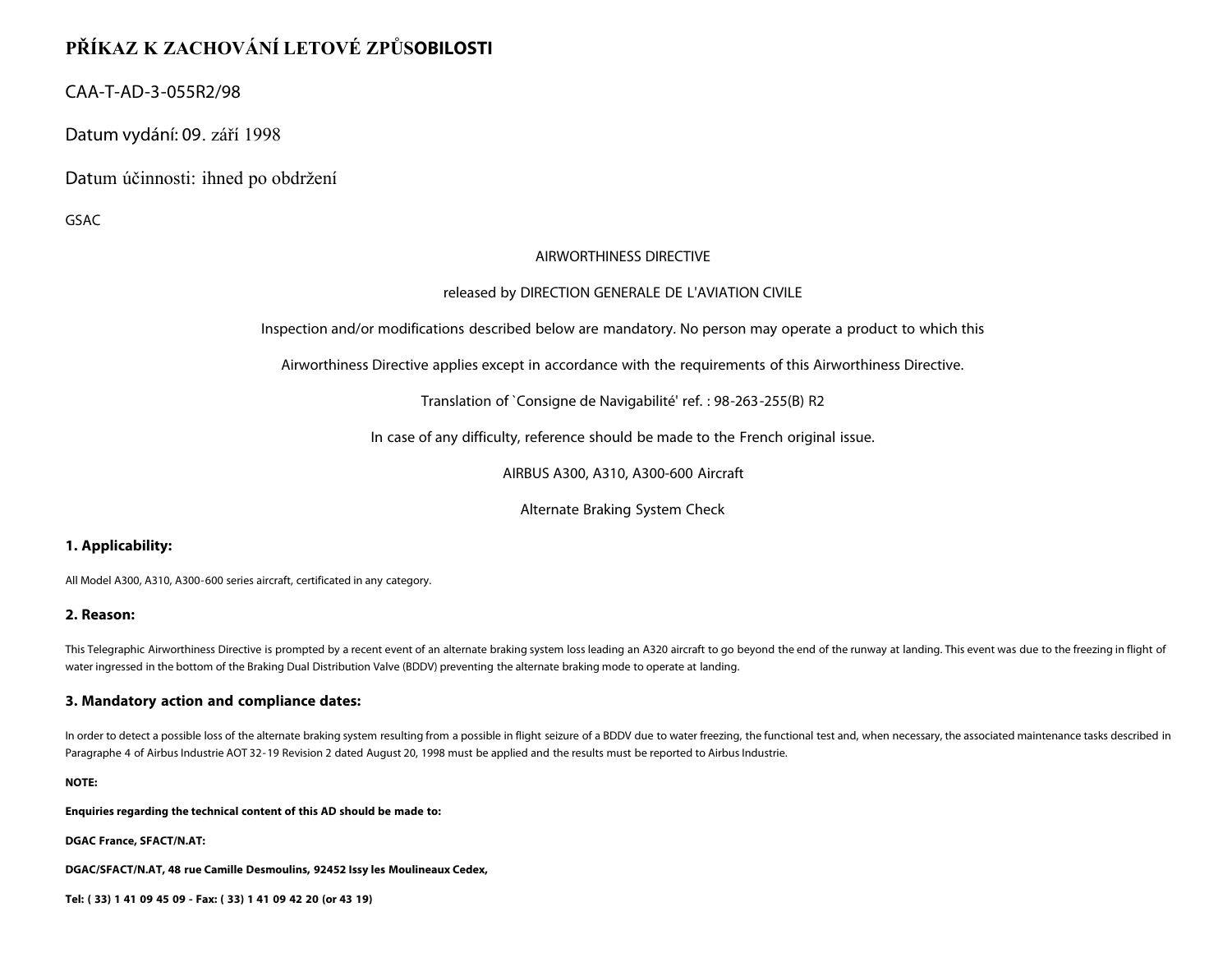# **PŘÍKAZ K ZACHOVÁNÍ LETOVÉ ZPŮSOBILOSTI**

## CAA-T-AD-3-055R2/98

Datum vydání: 09. září 1998

Datum účinnosti: ihned po obdržení

GSAC

## AIRWORTHINESS DIRECTIVE

## released by DIRECTION GENERALE DE L'AVIATION CIVILE

Inspection and/or modifications described below are mandatory. No person may operate a product to which this

Airworthiness Directive applies except in accordance with the requirements of this Airworthiness Directive.

Translation of `Consigne de Navigabilité' ref. : 98-263-255(B) R2

In case of any difficulty, reference should be made to the French original issue.

AIRBUS A300, A310, A300-600 Aircraft

Alternate Braking System Check

## **1. Applicability:**

All Model A300, A310, A300-600 series aircraft, certificated in any category.

### **2. Reason:**

This Telegraphic Airworthiness Directive is prompted by a recent event of an alternate braking system loss leading an A320 aircraft to go beyond the end of the runway at landing. This event was due to the freezing in fligh water ingressed in the bottom of the Braking Dual Distribution Valve (BDDV) preventing the alternate braking mode to operate at landing.

### **3. Mandatory action and compliance dates:**

In order to detect a possible loss of the alternate braking system resulting from a possible in flight seizure of a BDDV due to water freezing, the functional test and, when necessary, the associated maintenance tasks desc Paragraphe 4 of Airbus Industrie AOT 32-19 Revision 2 dated August 20, 1998 must be applied and the results must be reported to Airbus Industrie.

**NOTE:**

**Enquiries regarding the technical content of this AD should be made to:**

**DGAC France, SFACT/N.AT:**

**DGAC/SFACT/N.AT, 48 rue Camille Desmoulins, 92452 Issy les Moulineaux Cedex,**

**Tel: ( 33) 1 41 09 45 09 - Fax: ( 33) 1 41 09 42 20 (or 43 19)**